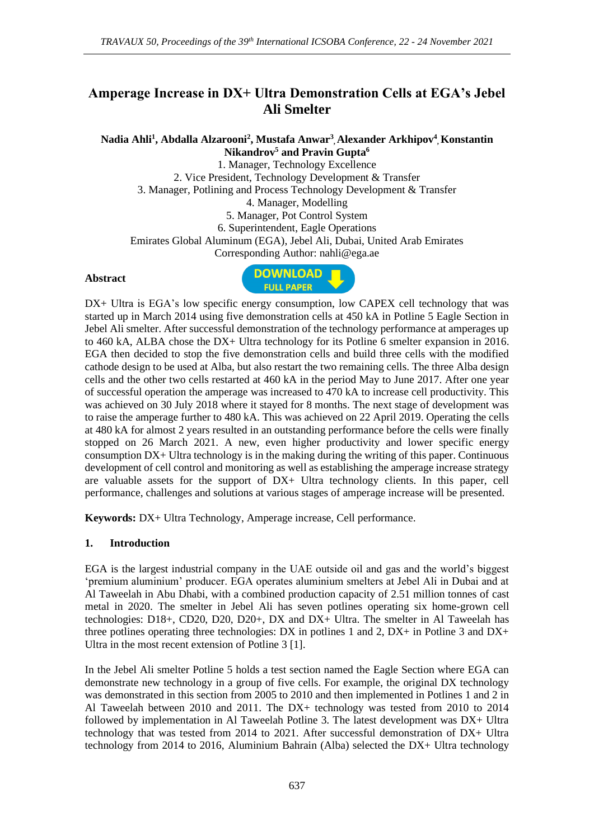# **Amperage Increase in DX+ Ultra Demonstration Cells at EGA's Jebel Ali Smelter**

**Nadia Ahli<sup>1</sup> , Abdalla Alzarooni<sup>2</sup> , Mustafa Anwar<sup>3</sup> , Alexander Arkhipov<sup>4</sup> , Konstantin Nikandrov<sup>5</sup> and Pravin Gupta<sup>6</sup>**

1. Manager, Technology Excellence 2. Vice President, Technology Development & Transfer 3. Manager, Potlining and Process Technology Development & Transfer 4. Manager, Modelling 5. Manager, Pot Control System 6. Superintendent, Eagle Operations Emirates Global Aluminum (EGA), Jebel Ali, Dubai, United Arab Emirates Corresponding Author: nahli@ega.ae

#### **Abstract**



DX+ Ultra is EGA's low specific energy consumption, low CAPEX cell technology that was started up in March 2014 using five demonstration cells at 450 kA in Potline 5 Eagle Section in Jebel Ali smelter. After successful demonstration of the technology performance at amperages up to 460 kA, ALBA chose the DX+ Ultra technology for its Potline 6 smelter expansion in 2016. EGA then decided to stop the five demonstration cells and build three cells with the modified cathode design to be used at Alba, but also restart the two remaining cells. The three Alba design cells and the other two cells restarted at 460 kA in the period May to June 2017. After one year of successful operation the amperage was increased to 470 kA to increase cell productivity. This was achieved on 30 July 2018 where it stayed for 8 months. The next stage of development was to raise the amperage further to 480 kA. This was achieved on 22 April 2019. Operating the cells at 480 kA for almost 2 years resulted in an outstanding performance before the cells were finally stopped on 26 March 2021. A new, even higher productivity and lower specific energy consumption DX+ Ultra technology is in the making during the writing of this paper. Continuous development of cell control and monitoring as well as establishing the amperage increase strategy are valuable assets for the support of DX+ Ultra technology clients. In this paper, cell performance, challenges and solutions at various stages of amperage increase will be presented.

**Keywords:** DX+ Ultra Technology, Amperage increase, Cell performance.

#### **1. Introduction**

EGA is the largest industrial company in the UAE outside oil and gas and the world's biggest 'premium aluminium' producer. EGA operates aluminium smelters at Jebel Ali in Dubai and at Al Taweelah in Abu Dhabi, with a combined production capacity of 2.51 million tonnes of cast metal in 2020. The smelter in Jebel Ali has seven potlines operating six home-grown cell technologies: D18+, CD20, D20, D20+, DX and DX+ Ultra. The smelter in Al Taweelah has three potlines operating three technologies: DX in potlines 1 and 2, DX+ in Potline 3 and DX+ Ultra in the most recent extension of Potline 3 [1].

In the Jebel Ali smelter Potline 5 holds a test section named the Eagle Section where EGA can demonstrate new technology in a group of five cells. For example, the original DX technology was demonstrated in this section from 2005 to 2010 and then implemented in Potlines 1 and 2 in Al Taweelah between 2010 and 2011. The DX+ technology was tested from 2010 to 2014 followed by implementation in Al Taweelah Potline 3. The latest development was DX+ Ultra technology that was tested from 2014 to 2021. After successful demonstration of DX+ Ultra technology from 2014 to 2016, Aluminium Bahrain (Alba) selected the DX+ Ultra technology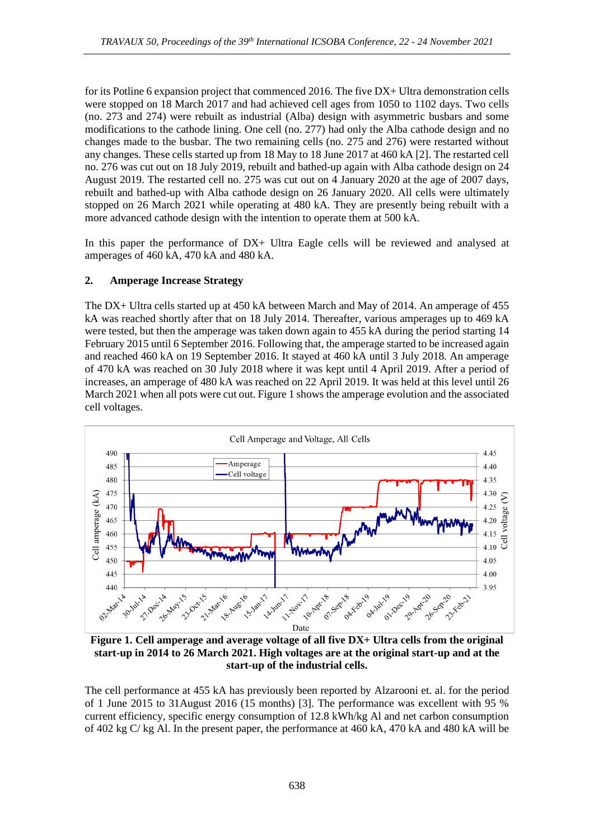for its Potline 6 expansion project that commenced 2016. The five DX+ Ultra demonstration cells were stopped on 18 March 2017 and had achieved cell ages from 1050 to 1102 days. Two cells (no. 273 and 274) were rebuilt as industrial (Alba) design with asymmetric busbars and some modifications to the cathode lining. One cell (no. 277) had only the Alba cathode design and no changes made to the busbar. The two remaining cells (no. 275 and 276) were restarted without any changes. These cells started up from 18 May to 18 June 2017 at 460 kA [2]. The restarted cell no. 276 was cut out on 18 July 2019, rebuilt and bathed-up again with Alba cathode design on 24 August 2019. The restarted cell no. 275 was cut out on 4 January 2020 at the age of 2007 days, rebuilt and bathed-up with Alba cathode design on 26 January 2020. All cells were ultimately stopped on 26 March 2021 while operating at 480 kA. They are presently being rebuilt with a more advanced cathode design with the intention to operate them at 500 kA.

In this paper the performance of DX+ Ultra Eagle cells will be reviewed and analysed at amperages of 460 kA, 470 kA and 480 kA.

## **2. Amperage Increase Strategy**

The DX+ Ultra cells started up at 450 kA between March and May of 2014. An amperage of 455 kA was reached shortly after that on 18 July 2014. Thereafter, various amperages up to 469 kA were tested, but then the amperage was taken down again to 455 kA during the period starting 14 February 2015 until 6 September 2016. Following that, the amperage started to be increased again and reached 460 kA on 19 September 2016. It stayed at 460 kA until 3 July 2018. An amperage of 470 kA was reached on 30 July 2018 where it was kept until 4 April 2019. After a period of increases, an amperage of 480 kA was reached on 22 April 2019. It was held at this level until 26 March 2021 when all pots were cut out. Figure 1 shows the amperage evolution and the associated cell voltages.



**Figure 1. Cell amperage and average voltage of all five DX+ Ultra cells from the original start-up in 2014 to 26 March 2021. High voltages are at the original start-up and at the start-up of the industrial cells.** 

The cell performance at 455 kA has previously been reported by Alzarooni et. al. for the period of 1 June 2015 to 31August 2016 (15 months) [3]. The performance was excellent with 95 % current efficiency, specific energy consumption of 12.8 kWh/kg Al and net carbon consumption of 402 kg C/ kg Al. In the present paper, the performance at 460 kA, 470 kA and 480 kA will be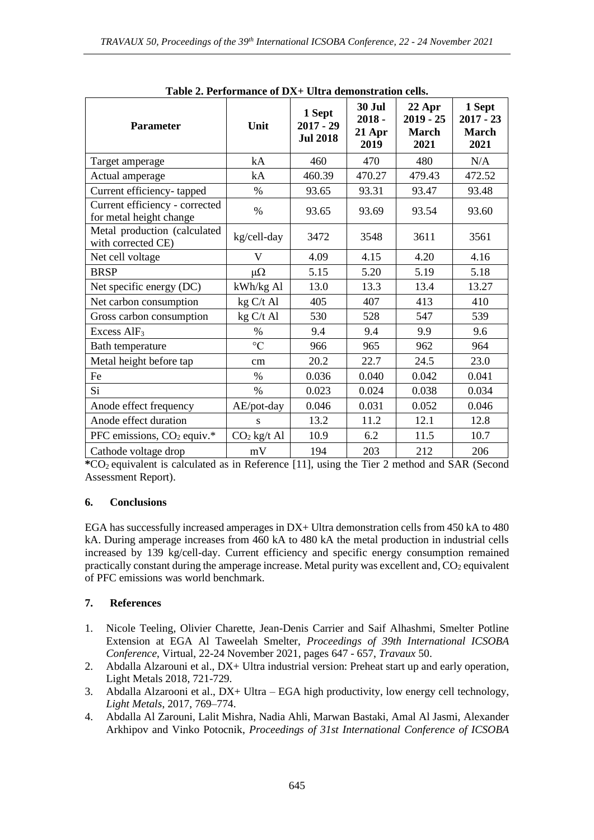| radio 2. i criorinance of DAT chea demonsitation cens.    |                 |                                          |                                      |                                               |                                               |
|-----------------------------------------------------------|-----------------|------------------------------------------|--------------------------------------|-----------------------------------------------|-----------------------------------------------|
| <b>Parameter</b>                                          | Unit            | 1 Sept<br>$2017 - 29$<br><b>Jul 2018</b> | 30 Jul<br>$2018 -$<br>21 Apr<br>2019 | 22 Apr<br>$2019 - 25$<br><b>March</b><br>2021 | 1 Sept<br>$2017 - 23$<br><b>March</b><br>2021 |
| Target amperage                                           | kA              | 460                                      | 470                                  | 480                                           | N/A                                           |
| Actual amperage                                           | kA              | 460.39                                   | 470.27                               | 479.43                                        | 472.52                                        |
| Current efficiency-tapped                                 | $\%$            | 93.65                                    | 93.31                                | 93.47                                         | 93.48                                         |
| Current efficiency - corrected<br>for metal height change | $\%$            | 93.65                                    | 93.69                                | 93.54                                         | 93.60                                         |
| Metal production (calculated<br>with corrected CE)        | kg/cell-day     | 3472                                     | 3548                                 | 3611                                          | 3561                                          |
| Net cell voltage                                          | V               | 4.09                                     | 4.15                                 | 4.20                                          | 4.16                                          |
| <b>BRSP</b>                                               | μ $Ω$           | 5.15                                     | 5.20                                 | 5.19                                          | 5.18                                          |
| Net specific energy (DC)                                  | kWh/kg Al       | 13.0                                     | 13.3                                 | 13.4                                          | 13.27                                         |
| Net carbon consumption                                    | kg C/t Al       | 405                                      | 407                                  | 413                                           | 410                                           |
| Gross carbon consumption                                  | kg C/t Al       | 530                                      | 528                                  | 547                                           | 539                                           |
| Excess AlF <sub>3</sub>                                   | $\%$            | 9.4                                      | 9.4                                  | 9.9                                           | 9.6                                           |
| Bath temperature                                          | $\rm ^{\circ}C$ | 966                                      | 965                                  | 962                                           | 964                                           |
| Metal height before tap                                   | cm              | 20.2                                     | 22.7                                 | 24.5                                          | 23.0                                          |
| Fe                                                        | $\%$            | 0.036                                    | 0.040                                | 0.042                                         | 0.041                                         |
| Si                                                        | $\%$            | 0.023                                    | 0.024                                | 0.038                                         | 0.034                                         |
| Anode effect frequency                                    | AE/pot-day      | 0.046                                    | 0.031                                | 0.052                                         | 0.046                                         |
| Anode effect duration                                     | S               | 13.2                                     | 11.2                                 | 12.1                                          | 12.8                                          |
| PFC emissions, CO <sub>2</sub> equiv.*                    | $CO2$ kg/t Al   | 10.9                                     | 6.2                                  | 11.5                                          | 10.7                                          |
| Cathode voltage drop                                      | mV              | 194                                      | 203                                  | 212                                           | 206                                           |

**Table 2. Performance of DX+ Ultra demonstration cells.**

**\***CO2 equivalent is calculated as in Reference [11], using the Tier 2 method and SAR (Second Assessment Report).

## **6. Conclusions**

EGA has successfully increased amperages in DX+ Ultra demonstration cells from 450 kA to 480 kA. During amperage increases from 460 kA to 480 kA the metal production in industrial cells increased by 139 kg/cell-day. Current efficiency and specific energy consumption remained practically constant during the amperage increase. Metal purity was excellent and,  $CO<sub>2</sub>$  equivalent of PFC emissions was world benchmark.

## **7. References**

- 1. Nicole Teeling, Olivier Charette, Jean-Denis Carrier and Saif Alhashmi, Smelter Potline Extension at EGA Al Taweelah Smelter, *Proceedings of 39th International ICSOBA Conference*, Virtual, 22-24 November 2021, pages 647 - 657, *Travaux* 50.
- 2. Abdalla Alzarouni et al., DX+ Ultra industrial version: Preheat start up and early operation, Light Metals 2018, 721-729.
- 3. Abdalla Alzarooni et al.,  $DX+ Ultra-EGA$  high productivity, low energy cell technology, *Light Metals*, 2017, 769–774.
- 4. Abdalla Al Zarouni, Lalit Mishra, Nadia Ahli, Marwan Bastaki, Amal Al Jasmi, Alexander Arkhipov and Vinko Potocnik, *Proceedings of 31st International Conference of ICSOBA*